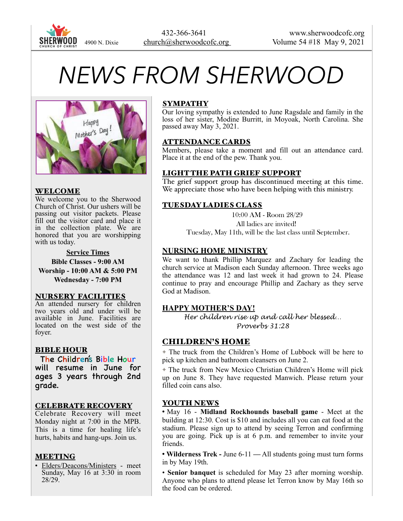

# *NEWS FROM SHERWOOD*



#### WELCOME

We welcome you to the Sherwood Church of Christ. Our ushers will be passing out visitor packets. Please fill out the visitor card and place it in the collection plate. We are honored that you are worshipping with us today.

#### **Service Times**

**Bible Classes - 9:00 AM** 

**Worship - 10:00 AM & 5:00 PM Wednesday - 7:00 PM** 

#### NURSERY FACILITIES

An attended nursery for children two years old and under will be available in June. Facilities are located on the west side of the foyer.

#### BIBLE HOUR

The Children's Bible Hour will resume in June for ages 3 years through 2nd grade.

#### CELEBRATE RECOVERY

Celebrate Recovery will meet Monday night at 7:00 in the MPB. This is a time for healing life's hurts, habits and hang-ups. Join us.

#### MEETING

• Elders/Deacons/Ministers - meet Sunday, May 16 at 3:30 in room 28/29.

#### SYMPATHY

Our loving sympathy is extended to June Ragsdale and family in the loss of her sister, Modine Burritt, in Moyoak, North Carolina. She passed away May 3, 2021.

#### ATTENDANCE CARDS

Members, please take a moment and fill out an attendance card. Place it at the end of the pew. Thank you.

## LIGHT THE PATH GRIEF SUPPORT

The grief support group has discontinued meeting at this time. We appreciate those who have been helping with this ministry.

## TUESDAY LADIES CLASS

10:00 AM - Room 28/29

All ladies are invited!

Tuesday, May 11th, will be the last class until September.

## **NURSING HOME MINISTRY**

We want to thank Phillip Marquez and Zachary for leading the church service at Madison each Sunday afternoon. Three weeks ago the attendance was 12 and last week it had grown to 24. Please continue to pray and encourage Phillip and Zachary as they serve God at Madison.

## **HAPPY MOTHER'S DAY!**

*Her children rise up and call her blessed… Proverbs 31:28* 

## CHILDREN'S HOME

✦ The truck from the Children's Home of Lubbock will be here to pick up kitchen and bathroom cleansers on June 2.

✦ The truck from New Mexico Christian Children's Home will pick up on June 8. They have requested Manwich. Please return your filled coin cans also.

#### YOUTH NEWS

• May 16 - **Midland Rockhounds baseball game** - Meet at the building at 12:30. Cost is \$10 and includes all you can eat food at the stadium. Please sign up to attend by seeing Terron and confirming you are going. Pick up is at 6 p.m. and remember to invite your friends.

• **Wilderness Trek -** June 6-11 **—** All students going must turn forms in by May 19th.

• **Senior banquet** is scheduled for May 23 after morning worship. Anyone who plans to attend please let Terron know by May 16th so the food can be ordered.